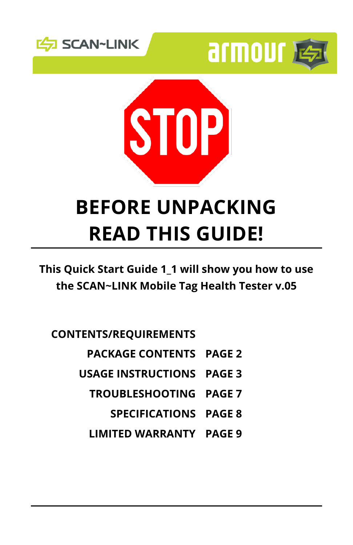





## **BEFORE UNPACKING READ THIS GUIDE!**

**This Quick Start Guide 1\_1 will show you how to use the SCAN~LINK Mobile Tag Health Tester v.05**

**CONTENTS/REQUIREMENTS**

- **PACKAGE CONTENTS PAGE 2**
- **USAGE INSTRUCTIONS PAGE 3**
	- **TROUBLESHOOTING PAGE 7**
		- **SPECIFICATIONS PAGE 8**
	- **LIMITED WARRANTY PAGE 9**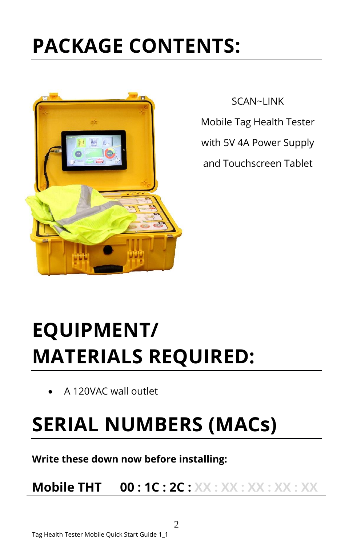## **PACKAGE CONTENTS:**



SCAN~LINK

Mobile Tag Health Tester

with 5V 4A Power Supply

and Touchscreen Tablet

# **EQUIPMENT/ MATERIALS REQUIRED:**

A 120VAC wall outlet

## **SERIAL NUMBERS (MACs)**

**Write these down now before installing:**

**Mobile THT 00 : 1C : 2C : XX : XX : XX : XX : XX**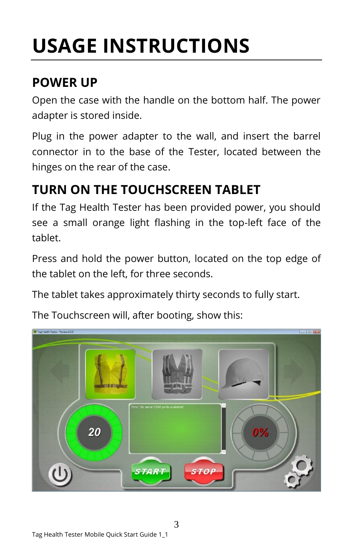# **USAGE INSTRUCTIONS**

### **POWER UP**

Open the case with the handle on the bottom half. The power adapter is stored inside.

Plug in the power adapter to the wall, and insert the barrel connector in to the base of the Tester, located between the hinges on the rear of the case.

## **TURN ON THE TOUCHSCREEN TABLET**

If the Tag Health Tester has been provided power, you should see a small orange light flashing in the top-left face of the tablet.

Press and hold the power button, located on the top edge of the tablet on the left, for three seconds.

The tablet takes approximately thirty seconds to fully start.

The Touchscreen will, after booting, show this:

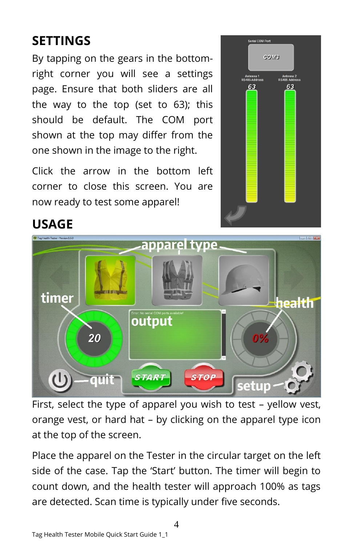## **SETTINGS**

By tapping on the gears in the bottomright corner you will see a settings page. Ensure that both sliders are all the way to the top (set to 63); this should be default. The COM port shown at the top may differ from the one shown in the image to the right.

Click the arrow in the bottom left corner to close this screen. You are now ready to test some apparel!



### **USAGE**



First, select the type of apparel you wish to test – yellow vest, orange vest, or hard hat – by clicking on the apparel type icon at the top of the screen.

Place the apparel on the Tester in the circular target on the left side of the case. Tap the 'Start' button. The timer will begin to count down, and the health tester will approach 100% as tags are detected. Scan time is typically under five seconds.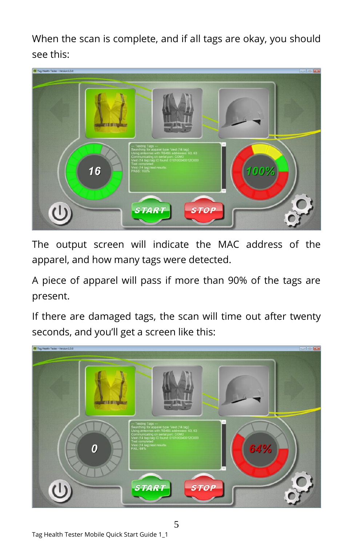When the scan is complete, and if all tags are okay, you should see this:



The output screen will indicate the MAC address of the apparel, and how many tags were detected.

A piece of apparel will pass if more than 90% of the tags are present.

If there are damaged tags, the scan will time out after twenty seconds, and you'll get a screen like this:



Tag Health Tester Mobile Quick Start Guide 1\_1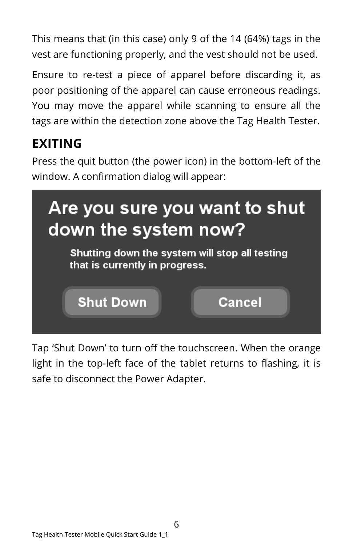This means that (in this case) only 9 of the 14 (64%) tags in the vest are functioning properly, and the vest should not be used.

Ensure to re-test a piece of apparel before discarding it, as poor positioning of the apparel can cause erroneous readings. You may move the apparel while scanning to ensure all the tags are within the detection zone above the Tag Health Tester.

## **EXITING**

Press the quit button (the power icon) in the bottom-left of the window. A confirmation dialog will appear:



Tap 'Shut Down' to turn off the touchscreen. When the orange light in the top-left face of the tablet returns to flashing, it is safe to disconnect the Power Adapter.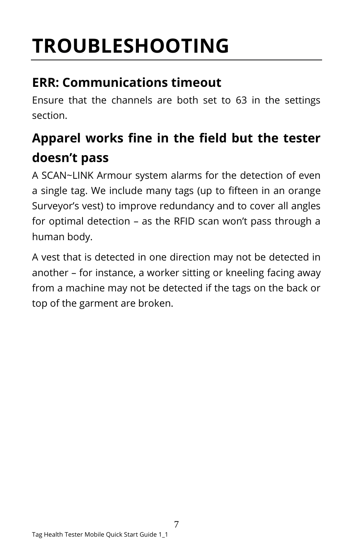# **TROUBLESHOOTING**

### **ERR: Communications timeout**

Ensure that the channels are both set to 63 in the settings section.

## **Apparel works fine in the field but the tester doesn't pass**

A SCAN~LINK Armour system alarms for the detection of even a single tag. We include many tags (up to fifteen in an orange Surveyor's vest) to improve redundancy and to cover all angles for optimal detection – as the RFID scan won't pass through a human body.

A vest that is detected in one direction may not be detected in another – for instance, a worker sitting or kneeling facing away from a machine may not be detected if the tags on the back or top of the garment are broken.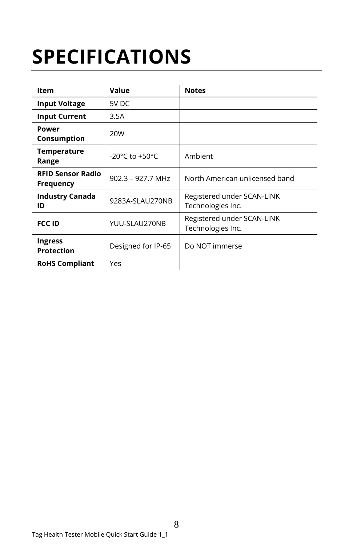# **SPECIFICATIONS**

| <b>Item</b>                                  | Value                                | <b>Notes</b>                                    |
|----------------------------------------------|--------------------------------------|-------------------------------------------------|
| <b>Input Voltage</b>                         | 5V DC                                |                                                 |
| <b>Input Current</b>                         | 3.5A                                 |                                                 |
| Power<br>Consumption                         | 20W                                  |                                                 |
| <b>Temperature</b><br>Range                  | -20 $^{\circ}$ C to +50 $^{\circ}$ C | Ambient                                         |
| <b>RFID Sensor Radio</b><br><b>Frequency</b> | $902.3 - 927.7$ MHz                  | North American unlicensed band                  |
| <b>Industry Canada</b><br>ID                 | 9283A-SLAU270NB                      | Registered under SCAN-LINK<br>Technologies Inc. |
| <b>FCC ID</b>                                | YUU-SLAU270NB                        | Registered under SCAN-LINK<br>Technologies Inc. |
| <b>Ingress</b><br><b>Protection</b>          | Designed for IP-65                   | Do NOT immerse                                  |
| <b>RoHS Compliant</b>                        | Yes                                  |                                                 |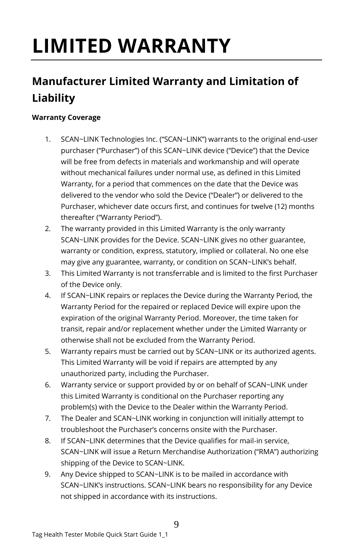# **LIMITED WARRANTY**

### **Manufacturer Limited Warranty and Limitation of Liability**

### **Warranty Coverage**

- 1. SCAN~LINK Technologies Inc. ("SCAN~LINK") warrants to the original end-user purchaser ("Purchaser") of this SCAN~LINK device ("Device") that the Device will be free from defects in materials and workmanship and will operate without mechanical failures under normal use, as defined in this Limited Warranty, for a period that commences on the date that the Device was delivered to the vendor who sold the Device ("Dealer") or delivered to the Purchaser, whichever date occurs first, and continues for twelve (12) months thereafter ("Warranty Period").
- 2. The warranty provided in this Limited Warranty is the only warranty SCAN~LINK provides for the Device. SCAN~LINK gives no other guarantee, warranty or condition, express, statutory, implied or collateral. No one else may give any guarantee, warranty, or condition on SCAN~LINK's behalf.
- 3. This Limited Warranty is not transferrable and is limited to the first Purchaser of the Device only.
- 4. If SCAN~LINK repairs or replaces the Device during the Warranty Period, the Warranty Period for the repaired or replaced Device will expire upon the expiration of the original Warranty Period. Moreover, the time taken for transit, repair and/or replacement whether under the Limited Warranty or otherwise shall not be excluded from the Warranty Period.
- 5. Warranty repairs must be carried out by SCAN~LINK or its authorized agents. This Limited Warranty will be void if repairs are attempted by any unauthorized party, including the Purchaser.
- 6. Warranty service or support provided by or on behalf of SCAN~LINK under this Limited Warranty is conditional on the Purchaser reporting any problem(s) with the Device to the Dealer within the Warranty Period.
- 7. The Dealer and SCAN~LINK working in conjunction will initially attempt to troubleshoot the Purchaser's concerns onsite with the Purchaser.
- 8. If SCAN~LINK determines that the Device qualifies for mail-in service, SCAN~LINK will issue a Return Merchandise Authorization ("RMA") authorizing shipping of the Device to SCAN~LINK.
- 9. Any Device shipped to SCAN~LINK is to be mailed in accordance with SCAN~LINK's instructions. SCAN~LINK bears no responsibility for any Device not shipped in accordance with its instructions.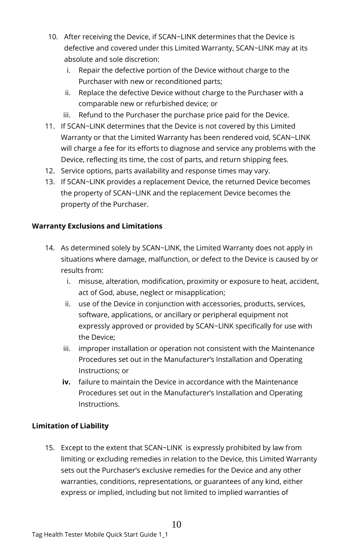- 10. After receiving the Device, if SCAN~LINK determines that the Device is defective and covered under this Limited Warranty, SCAN~LINK may at its absolute and sole discretion:
	- i. Repair the defective portion of the Device without charge to the Purchaser with new or reconditioned parts;
	- ii. Replace the defective Device without charge to the Purchaser with a comparable new or refurbished device; or
	- iii. Refund to the Purchaser the purchase price paid for the Device.
- 11. If SCAN~LINK determines that the Device is not covered by this Limited Warranty or that the Limited Warranty has been rendered void, SCAN~LINK will charge a fee for its efforts to diagnose and service any problems with the Device, reflecting its time, the cost of parts, and return shipping fees.
- 12. Service options, parts availability and response times may vary.
- 13. If SCAN~LINK provides a replacement Device, the returned Device becomes the property of SCAN~LINK and the replacement Device becomes the property of the Purchaser.

### **Warranty Exclusions and Limitations**

- 14. As determined solely by SCAN~LINK, the Limited Warranty does not apply in situations where damage, malfunction, or defect to the Device is caused by or results from:
	- i. misuse, alteration, modification, proximity or exposure to heat, accident, act of God, abuse, neglect or misapplication;
	- ii. use of the Device in conjunction with accessories, products, services, software, applications, or ancillary or peripheral equipment not expressly approved or provided by SCAN~LINK specifically for use with the Device;
	- iii. improper installation or operation not consistent with the Maintenance Procedures set out in the Manufacturer's Installation and Operating Instructions; or
	- **iv.** failure to maintain the Device in accordance with the Maintenance Procedures set out in the Manufacturer's Installation and Operating Instructions.

### **Limitation of Liability**

15. Except to the extent that SCAN~LINK is expressly prohibited by law from limiting or excluding remedies in relation to the Device, this Limited Warranty sets out the Purchaser's exclusive remedies for the Device and any other warranties, conditions, representations, or guarantees of any kind, either express or implied, including but not limited to implied warranties of